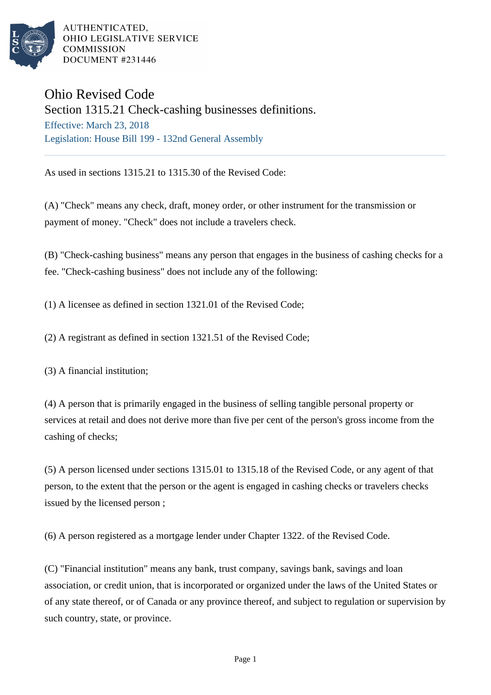

AUTHENTICATED. OHIO LEGISLATIVE SERVICE **COMMISSION** DOCUMENT #231446

## Ohio Revised Code

Section 1315.21 Check-cashing businesses definitions. Effective: March 23, 2018 Legislation: House Bill 199 - 132nd General Assembly

As used in sections 1315.21 to 1315.30 of the Revised Code:

(A) "Check" means any check, draft, money order, or other instrument for the transmission or payment of money. "Check" does not include a travelers check.

(B) "Check-cashing business" means any person that engages in the business of cashing checks for a fee. "Check-cashing business" does not include any of the following:

(1) A licensee as defined in section 1321.01 of the Revised Code;

(2) A registrant as defined in section 1321.51 of the Revised Code;

(3) A financial institution;

(4) A person that is primarily engaged in the business of selling tangible personal property or services at retail and does not derive more than five per cent of the person's gross income from the cashing of checks;

(5) A person licensed under sections 1315.01 to 1315.18 of the Revised Code, or any agent of that person, to the extent that the person or the agent is engaged in cashing checks or travelers checks issued by the licensed person ;

(6) A person registered as a mortgage lender under Chapter 1322. of the Revised Code.

(C) "Financial institution" means any bank, trust company, savings bank, savings and loan association, or credit union, that is incorporated or organized under the laws of the United States or of any state thereof, or of Canada or any province thereof, and subject to regulation or supervision by such country, state, or province.